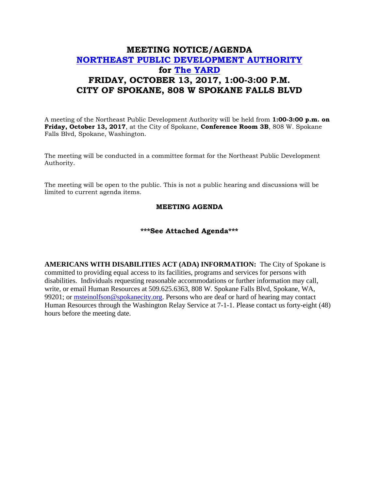## **MEETING NOTICE/AGENDA [NORTHEAST PUBLIC DEVELOPMENT AUTHORITY](https://beta.spokanecity.org/bcc/boards/northeast-public-development-authority/) for [The YARD](https://beta.spokanecity.org/projects/theyard/) FRIDAY, OCTOBER 13, 2017, 1:00-3:00 P.M. CITY OF SPOKANE, 808 W SPOKANE FALLS BLVD**

A meeting of the Northeast Public Development Authority will be held from **1:00-3:00 p.m. on Friday, October 13, 2017**, at the City of Spokane, **Conference Room 3B**, 808 W. Spokane Falls Blvd, Spokane, Washington.

The meeting will be conducted in a committee format for the Northeast Public Development Authority.

The meeting will be open to the public. This is not a public hearing and discussions will be limited to current agenda items.

## **MEETING AGENDA**

## **\*\*\*See Attached Agenda\*\*\***

**AMERICANS WITH DISABILITIES ACT (ADA) INFORMATION:** The City of Spokane is committed to providing equal access to its facilities, programs and services for persons with disabilities. Individuals requesting reasonable accommodations or further information may call, write, or email Human Resources at 509.625.6363, 808 W. Spokane Falls Blvd, Spokane, WA, 99201; or [msteinolfson@spokanecity.org.](mailto:msteinolfson@spokanecity.org) Persons who are deaf or hard of hearing may contact Human Resources through the Washington Relay Service at 7-1-1. Please contact us forty-eight (48) hours before the meeting date.